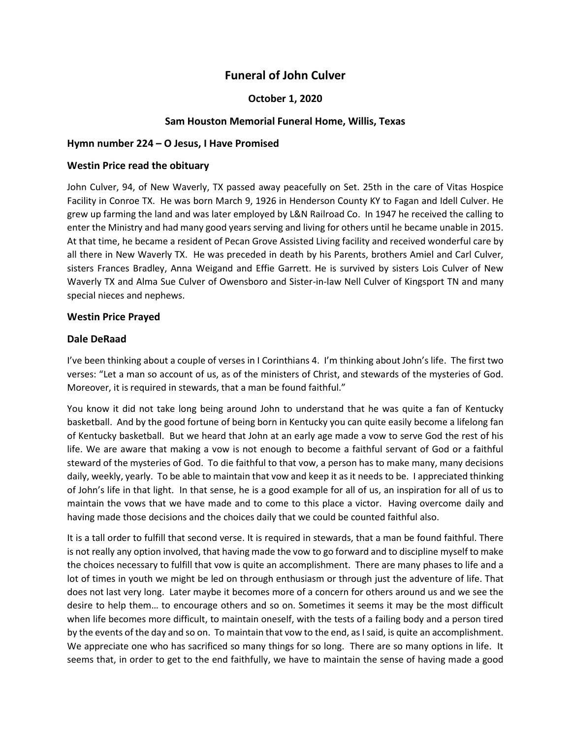# **Funeral of John Culver**

# **October 1, 2020**

# **Sam Houston Memorial Funeral Home, Willis, Texas**

#### **Hymn number 224 – O Jesus, I Have Promised**

#### **Westin Price read the obituary**

John Culver, 94, of New Waverly, TX passed away peacefully on Set. 25th in the care of Vitas Hospice Facility in Conroe TX. He was born March 9, 1926 in Henderson County KY to Fagan and Idell Culver. He grew up farming the land and was later employed by L&N Railroad Co. In 1947 he received the calling to enter the Ministry and had many good years serving and living for others until he became unable in 2015. At that time, he became a resident of Pecan Grove Assisted Living facility and received wonderful care by all there in New Waverly TX. He was preceded in death by his Parents, brothers Amiel and Carl Culver, sisters Frances Bradley, Anna Weigand and Effie Garrett. He is survived by sisters Lois Culver of New Waverly TX and Alma Sue Culver of Owensboro and Sister-in-law Nell Culver of Kingsport TN and many special nieces and nephews.

#### **Westin Price Prayed**

#### **Dale DeRaad**

I've been thinking about a couple of verses in I Corinthians 4. I'm thinking about John's life. The first two verses: "Let a man so account of us, as of the ministers of Christ, and stewards of the mysteries of God. Moreover, it is required in stewards, that a man be found faithful."

You know it did not take long being around John to understand that he was quite a fan of Kentucky basketball. And by the good fortune of being born in Kentucky you can quite easily become a lifelong fan of Kentucky basketball. But we heard that John at an early age made a vow to serve God the rest of his life. We are aware that making a vow is not enough to become a faithful servant of God or a faithful steward of the mysteries of God. To die faithful to that vow, a person has to make many, many decisions daily, weekly, yearly. To be able to maintain that vow and keep it as it needs to be. I appreciated thinking of John's life in that light. In that sense, he is a good example for all of us, an inspiration for all of us to maintain the vows that we have made and to come to this place a victor. Having overcome daily and having made those decisions and the choices daily that we could be counted faithful also.

It is a tall order to fulfill that second verse. It is required in stewards, that a man be found faithful. There is not really any option involved, that having made the vow to go forward and to discipline myself to make the choices necessary to fulfill that vow is quite an accomplishment. There are many phases to life and a lot of times in youth we might be led on through enthusiasm or through just the adventure of life. That does not last very long. Later maybe it becomes more of a concern for others around us and we see the desire to help them… to encourage others and so on. Sometimes it seems it may be the most difficult when life becomes more difficult, to maintain oneself, with the tests of a failing body and a person tired by the events of the day and so on. To maintain that vow to the end, as I said, is quite an accomplishment. We appreciate one who has sacrificed so many things for so long. There are so many options in life. It seems that, in order to get to the end faithfully, we have to maintain the sense of having made a good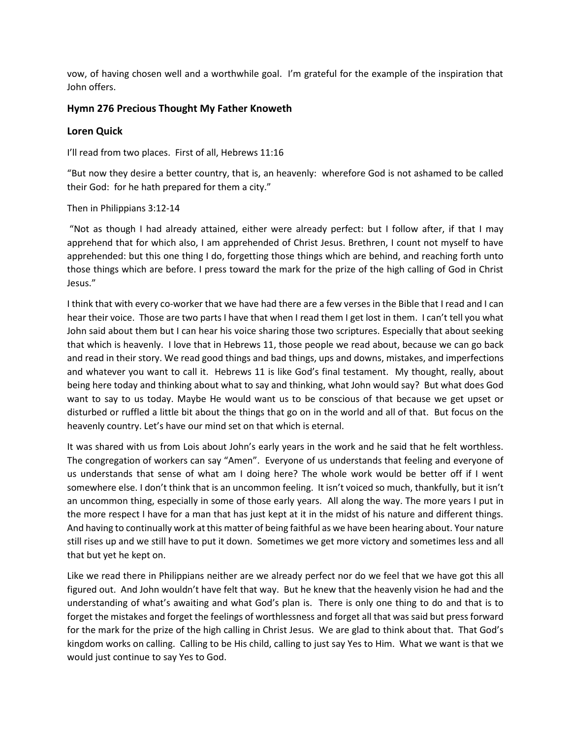vow, of having chosen well and a worthwhile goal. I'm grateful for the example of the inspiration that John offers.

## **Hymn 276 Precious Thought My Father Knoweth**

## **Loren Quick**

I'll read from two places. First of all, Hebrews 11:16

"But now they desire a better country, that is, an heavenly: wherefore God is not ashamed to be called their God: for he hath prepared for them a city."

Then in Philippians 3:12-14

"Not as though I had already attained, either were already perfect: but I follow after, if that I may apprehend that for which also, I am apprehended of Christ Jesus. Brethren, I count not myself to have apprehended: but this one thing I do, forgetting those things which are behind, and reaching forth unto those things which are before. I press toward the mark for the prize of the high calling of God in Christ Jesus."

I think that with every co-worker that we have had there are a few verses in the Bible that I read and I can hear their voice. Those are two parts I have that when I read them I get lost in them. I can't tell you what John said about them but I can hear his voice sharing those two scriptures. Especially that about seeking that which is heavenly. I love that in Hebrews 11, those people we read about, because we can go back and read in their story. We read good things and bad things, ups and downs, mistakes, and imperfections and whatever you want to call it. Hebrews 11 is like God's final testament. My thought, really, about being here today and thinking about what to say and thinking, what John would say? But what does God want to say to us today. Maybe He would want us to be conscious of that because we get upset or disturbed or ruffled a little bit about the things that go on in the world and all of that. But focus on the heavenly country. Let's have our mind set on that which is eternal.

It was shared with us from Lois about John's early years in the work and he said that he felt worthless. The congregation of workers can say "Amen". Everyone of us understands that feeling and everyone of us understands that sense of what am I doing here? The whole work would be better off if I went somewhere else. I don't think that is an uncommon feeling. It isn't voiced so much, thankfully, but it isn't an uncommon thing, especially in some of those early years. All along the way. The more years I put in the more respect I have for a man that has just kept at it in the midst of his nature and different things. And having to continually work at this matter of being faithful as we have been hearing about. Your nature still rises up and we still have to put it down. Sometimes we get more victory and sometimes less and all that but yet he kept on.

Like we read there in Philippians neither are we already perfect nor do we feel that we have got this all figured out. And John wouldn't have felt that way. But he knew that the heavenly vision he had and the understanding of what's awaiting and what God's plan is. There is only one thing to do and that is to forget the mistakes and forget the feelings of worthlessness and forget all that was said but press forward for the mark for the prize of the high calling in Christ Jesus. We are glad to think about that. That God's kingdom works on calling. Calling to be His child, calling to just say Yes to Him. What we want is that we would just continue to say Yes to God.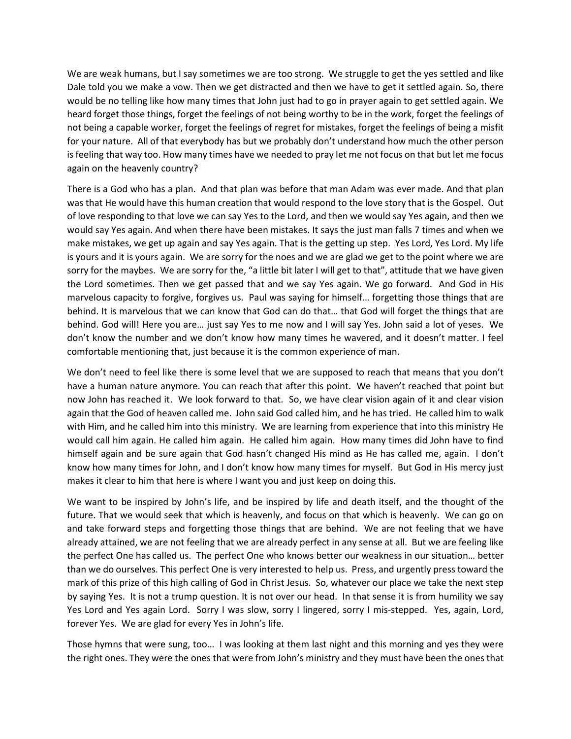We are weak humans, but I say sometimes we are too strong. We struggle to get the yes settled and like Dale told you we make a vow. Then we get distracted and then we have to get it settled again. So, there would be no telling like how many times that John just had to go in prayer again to get settled again. We heard forget those things, forget the feelings of not being worthy to be in the work, forget the feelings of not being a capable worker, forget the feelings of regret for mistakes, forget the feelings of being a misfit for your nature. All of that everybody has but we probably don't understand how much the other person is feeling that way too. How many times have we needed to pray let me not focus on that but let me focus again on the heavenly country?

There is a God who has a plan. And that plan was before that man Adam was ever made. And that plan was that He would have this human creation that would respond to the love story that is the Gospel. Out of love responding to that love we can say Yes to the Lord, and then we would say Yes again, and then we would say Yes again. And when there have been mistakes. It says the just man falls 7 times and when we make mistakes, we get up again and say Yes again. That is the getting up step. Yes Lord, Yes Lord. My life is yours and it is yours again. We are sorry for the noes and we are glad we get to the point where we are sorry for the maybes. We are sorry for the, "a little bit later I will get to that", attitude that we have given the Lord sometimes. Then we get passed that and we say Yes again. We go forward. And God in His marvelous capacity to forgive, forgives us. Paul was saying for himself… forgetting those things that are behind. It is marvelous that we can know that God can do that… that God will forget the things that are behind. God will! Here you are… just say Yes to me now and I will say Yes. John said a lot of yeses. We don't know the number and we don't know how many times he wavered, and it doesn't matter. I feel comfortable mentioning that, just because it is the common experience of man.

We don't need to feel like there is some level that we are supposed to reach that means that you don't have a human nature anymore. You can reach that after this point. We haven't reached that point but now John has reached it. We look forward to that. So, we have clear vision again of it and clear vision again that the God of heaven called me. John said God called him, and he has tried. He called him to walk with Him, and he called him into this ministry. We are learning from experience that into this ministry He would call him again. He called him again. He called him again. How many times did John have to find himself again and be sure again that God hasn't changed His mind as He has called me, again. I don't know how many times for John, and I don't know how many times for myself. But God in His mercy just makes it clear to him that here is where I want you and just keep on doing this.

We want to be inspired by John's life, and be inspired by life and death itself, and the thought of the future. That we would seek that which is heavenly, and focus on that which is heavenly. We can go on and take forward steps and forgetting those things that are behind. We are not feeling that we have already attained, we are not feeling that we are already perfect in any sense at all. But we are feeling like the perfect One has called us. The perfect One who knows better our weakness in our situation… better than we do ourselves. This perfect One is very interested to help us. Press, and urgently press toward the mark of this prize of this high calling of God in Christ Jesus. So, whatever our place we take the next step by saying Yes. It is not a trump question. It is not over our head. In that sense it is from humility we say Yes Lord and Yes again Lord. Sorry I was slow, sorry I lingered, sorry I mis-stepped. Yes, again, Lord, forever Yes. We are glad for every Yes in John's life.

Those hymns that were sung, too… I was looking at them last night and this morning and yes they were the right ones. They were the ones that were from John's ministry and they must have been the ones that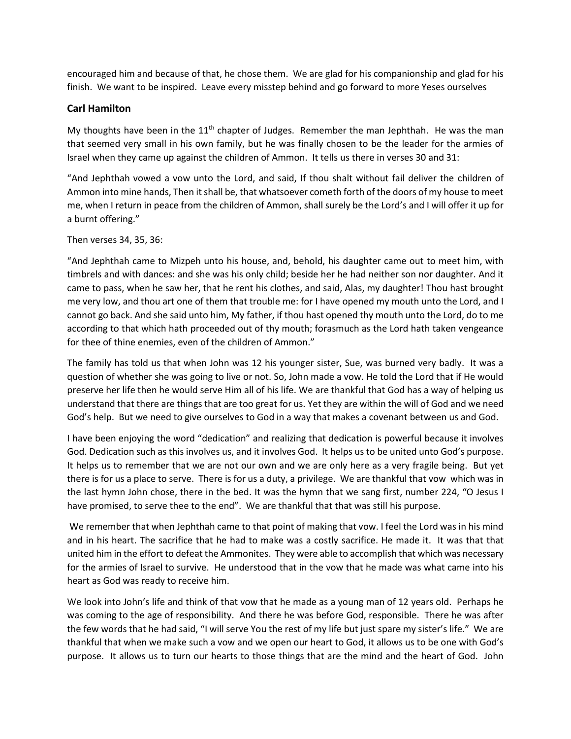encouraged him and because of that, he chose them. We are glad for his companionship and glad for his finish. We want to be inspired. Leave every misstep behind and go forward to more Yeses ourselves

## **Carl Hamilton**

My thoughts have been in the  $11<sup>th</sup>$  chapter of Judges. Remember the man Jephthah. He was the man that seemed very small in his own family, but he was finally chosen to be the leader for the armies of Israel when they came up against the children of Ammon. It tells us there in verses 30 and 31:

"And Jephthah vowed a vow unto the Lord, and said, If thou shalt without fail deliver the children of Ammon into mine hands, Then it shall be, that whatsoever cometh forth of the doors of my house to meet me, when I return in peace from the children of Ammon, shall surely be the Lord's and I will offer it up for a burnt offering."

#### Then verses 34, 35, 36:

"And Jephthah came to Mizpeh unto his house, and, behold, his daughter came out to meet him, with timbrels and with dances: and she was his only child; beside her he had neither son nor daughter. And it came to pass, when he saw her, that he rent his clothes, and said, Alas, my daughter! Thou hast brought me very low, and thou art one of them that trouble me: for I have opened my mouth unto the Lord, and I cannot go back. And she said unto him, My father, if thou hast opened thy mouth unto the Lord, do to me according to that which hath proceeded out of thy mouth; forasmuch as the Lord hath taken vengeance for thee of thine enemies, even of the children of Ammon."

The family has told us that when John was 12 his younger sister, Sue, was burned very badly. It was a question of whether she was going to live or not. So, John made a vow. He told the Lord that if He would preserve her life then he would serve Him all of his life. We are thankful that God has a way of helping us understand that there are things that are too great for us. Yet they are within the will of God and we need God's help. But we need to give ourselves to God in a way that makes a covenant between us and God.

I have been enjoying the word "dedication" and realizing that dedication is powerful because it involves God. Dedication such as this involves us, and it involves God. It helps us to be united unto God's purpose. It helps us to remember that we are not our own and we are only here as a very fragile being. But yet there is for us a place to serve. There is for us a duty, a privilege. We are thankful that vow which was in the last hymn John chose, there in the bed. It was the hymn that we sang first, number 224, "O Jesus I have promised, to serve thee to the end". We are thankful that that was still his purpose.

We remember that when Jephthah came to that point of making that vow. I feel the Lord was in his mind and in his heart. The sacrifice that he had to make was a costly sacrifice. He made it. It was that that united him in the effort to defeat the Ammonites. They were able to accomplish that which was necessary for the armies of Israel to survive. He understood that in the vow that he made was what came into his heart as God was ready to receive him.

We look into John's life and think of that vow that he made as a young man of 12 years old. Perhaps he was coming to the age of responsibility. And there he was before God, responsible. There he was after the few words that he had said, "I will serve You the rest of my life but just spare my sister's life." We are thankful that when we make such a vow and we open our heart to God, it allows us to be one with God's purpose. It allows us to turn our hearts to those things that are the mind and the heart of God. John